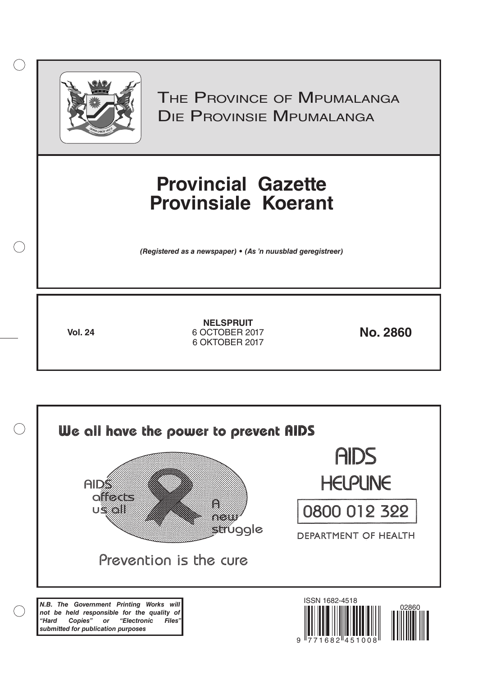

 $( )$ 

THE PROVINCE OF MPUMALANGA Die Provinsie Mpumalanga

# **Provincial Gazette Provinsiale Koerant**

*(Registered as a newspaper) • (As 'n nuusblad geregistreer)*

**Vol. 24 No. 2860** 6 OCTOBER 2017 **NELSPRUIT** 6 OKTOBER 2017

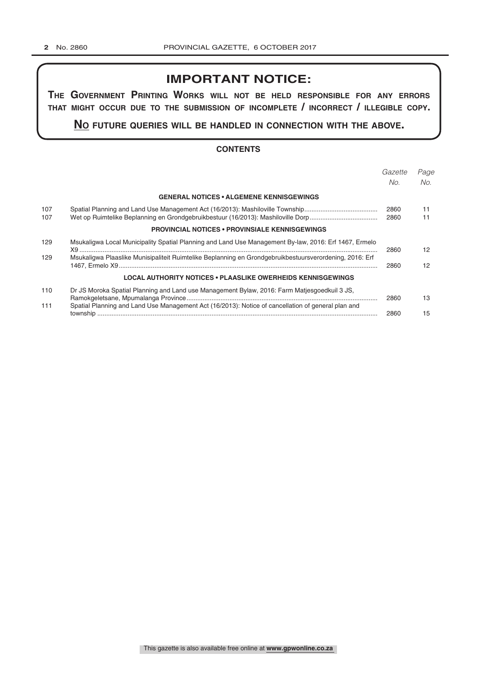# **IMPORTANT NOTICE:**

**The GovernmenT PrinTinG Works Will noT be held resPonsible for any errors ThaT miGhT occur due To The submission of incomPleTe / incorrecT / illeGible coPy.**

**no fuTure queries Will be handled in connecTion WiTh The above.**

# **CONTENTS**

|            |                                                                                                         | Gazette<br>No. | Page<br>No.     |
|------------|---------------------------------------------------------------------------------------------------------|----------------|-----------------|
|            | <b>GENERAL NOTICES • ALGEMENE KENNISGEWINGS</b>                                                         |                |                 |
| 107<br>107 |                                                                                                         | 2860<br>2860   | 11<br>11        |
|            | <b>PROVINCIAL NOTICES • PROVINSIALE KENNISGEWINGS</b>                                                   |                |                 |
| 129        | Msukaligwa Local Municipality Spatial Planning and Land Use Management By-law, 2016: Erf 1467, Ermelo   | 2860           | 12 <sup>7</sup> |
| 129        | Msukaligwa Plaaslike Munisipaliteit Ruimtelike Beplanning en Grondgebruikbestuursverordening, 2016: Erf | 2860           | 12              |
|            | LOCAL AUTHORITY NOTICES • PLAASLIKE OWERHEIDS KENNISGEWINGS                                             |                |                 |
| 110        | Dr JS Moroka Spatial Planning and Land use Management Bylaw, 2016: Farm Matjesgoedkuil 3 JS,            | 2860           | 13              |
| 111        | Spatial Planning and Land Use Management Act (16/2013): Notice of cancellation of general plan and      | 2860           | 15              |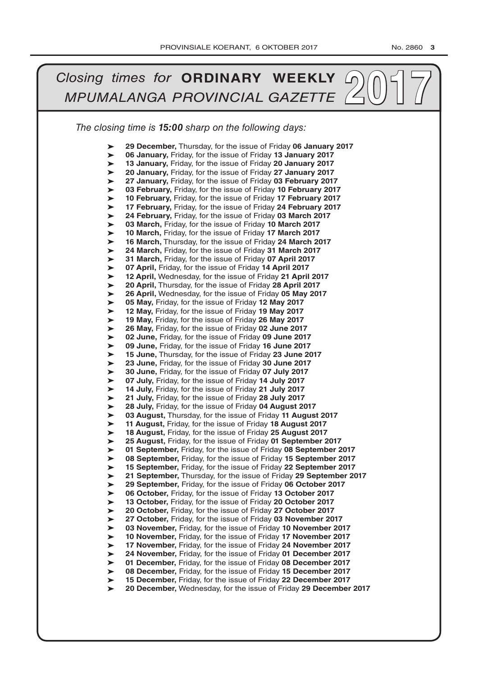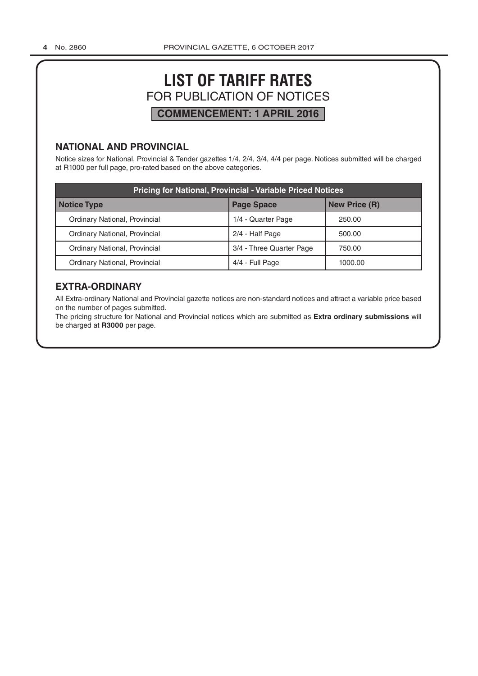# **LIST OF TARIFF RATES** FOR PUBLICATION OF NOTICES **COMMENCEMENT: 1 APRIL 2016**

# **NATIONAL AND PROVINCIAL**

Notice sizes for National, Provincial & Tender gazettes 1/4, 2/4, 3/4, 4/4 per page. Notices submitted will be charged at R1000 per full page, pro-rated based on the above categories.

| <b>Pricing for National, Provincial - Variable Priced Notices</b> |                          |                      |  |  |
|-------------------------------------------------------------------|--------------------------|----------------------|--|--|
| Notice Type                                                       | <b>Page Space</b>        | <b>New Price (R)</b> |  |  |
| Ordinary National, Provincial                                     | 1/4 - Quarter Page       | 250.00               |  |  |
| Ordinary National, Provincial                                     | 2/4 - Half Page          | 500.00               |  |  |
| Ordinary National, Provincial                                     | 3/4 - Three Quarter Page | 750.00               |  |  |
| Ordinary National, Provincial                                     | 4/4 - Full Page          | 1000.00              |  |  |

# **EXTRA-ORDINARY**

All Extra-ordinary National and Provincial gazette notices are non-standard notices and attract a variable price based on the number of pages submitted.

The pricing structure for National and Provincial notices which are submitted as **Extra ordinary submissions** will be charged at **R3000** per page.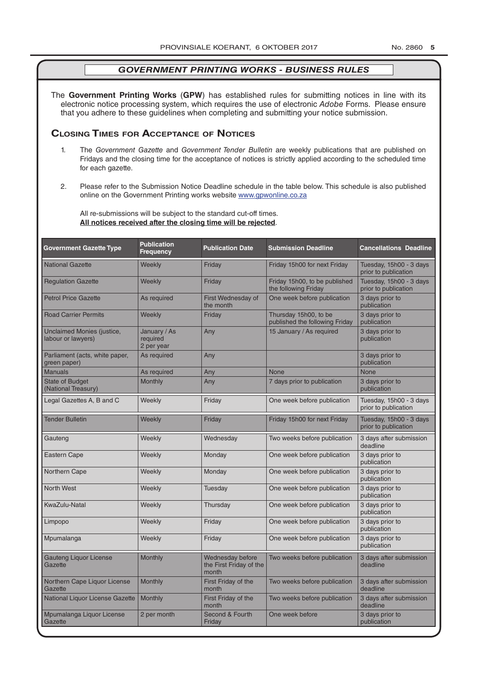The **Government Printing Works** (**GPW**) has established rules for submitting notices in line with its electronic notice processing system, which requires the use of electronic *Adobe* Forms. Please ensure that you adhere to these guidelines when completing and submitting your notice submission.

# **Closing Times for ACCepTAnCe of noTiCes**

- 1. The *Government Gazette* and *Government Tender Bulletin* are weekly publications that are published on Fridays and the closing time for the acceptance of notices is strictly applied according to the scheduled time for each gazette.
- 2. Please refer to the Submission Notice Deadline schedule in the table below. This schedule is also published online on the Government Printing works website www.gpwonline.co.za

All re-submissions will be subject to the standard cut-off times. **All notices received after the closing time will be rejected**.

| <b>Government Gazette Type</b>                   | <b>Publication</b><br><b>Frequency</b> | <b>Publication Date</b>                              | <b>Submission Deadline</b>                              | <b>Cancellations Deadline</b>                   |
|--------------------------------------------------|----------------------------------------|------------------------------------------------------|---------------------------------------------------------|-------------------------------------------------|
| <b>National Gazette</b>                          | Weekly                                 | Friday                                               | Friday 15h00 for next Friday                            | Tuesday, 15h00 - 3 days<br>prior to publication |
| <b>Regulation Gazette</b>                        | Weekly                                 | Friday                                               | Friday 15h00, to be published<br>the following Friday   | Tuesday, 15h00 - 3 days<br>prior to publication |
| <b>Petrol Price Gazette</b>                      | As required                            | First Wednesday of<br>the month                      | One week before publication                             | 3 days prior to<br>publication                  |
| <b>Road Carrier Permits</b>                      | Weekly                                 | Friday                                               | Thursday 15h00, to be<br>published the following Friday | 3 days prior to<br>publication                  |
| Unclaimed Monies (justice,<br>labour or lawyers) | January / As<br>required<br>2 per year | Any                                                  | 15 January / As required                                | 3 days prior to<br>publication                  |
| Parliament (acts, white paper,<br>green paper)   | As required                            | Any                                                  |                                                         | 3 days prior to<br>publication                  |
| <b>Manuals</b>                                   | As required                            | Any                                                  | <b>None</b>                                             | <b>None</b>                                     |
| <b>State of Budget</b><br>(National Treasury)    | <b>Monthly</b>                         | Any                                                  | 7 days prior to publication                             | 3 days prior to<br>publication                  |
| Legal Gazettes A, B and C                        | Weekly                                 | Friday                                               | One week before publication                             | Tuesday, 15h00 - 3 days<br>prior to publication |
| <b>Tender Bulletin</b>                           | Weekly                                 | Friday                                               | Friday 15h00 for next Friday                            | Tuesday, 15h00 - 3 days<br>prior to publication |
| Gauteng                                          | Weekly                                 | Wednesday                                            | Two weeks before publication                            | 3 days after submission<br>deadline             |
| <b>Eastern Cape</b>                              | Weekly                                 | Monday                                               | One week before publication                             | 3 days prior to<br>publication                  |
| Northern Cape                                    | Weekly                                 | Monday                                               | One week before publication                             | 3 days prior to<br>publication                  |
| <b>North West</b>                                | Weekly                                 | Tuesday                                              | One week before publication                             | 3 days prior to<br>publication                  |
| KwaZulu-Natal                                    | Weekly                                 | Thursday                                             | One week before publication                             | 3 days prior to<br>publication                  |
| Limpopo                                          | Weekly                                 | Friday                                               | One week before publication                             | 3 days prior to<br>publication                  |
| Mpumalanga                                       | Weekly                                 | Friday                                               | One week before publication                             | 3 days prior to<br>publication                  |
| <b>Gauteng Liquor License</b><br>Gazette         | Monthly                                | Wednesday before<br>the First Friday of the<br>month | Two weeks before publication                            | 3 days after submission<br>deadline             |
| Northern Cape Liquor License<br>Gazette          | Monthly                                | First Friday of the<br>month                         | Two weeks before publication                            | 3 days after submission<br>deadline             |
| National Liquor License Gazette                  | <b>Monthly</b>                         | First Friday of the<br>month                         | Two weeks before publication                            | 3 days after submission<br>deadline             |
| Mpumalanga Liquor License<br>Gazette             | 2 per month                            | Second & Fourth<br>Friday                            | One week before                                         | 3 days prior to<br>publication                  |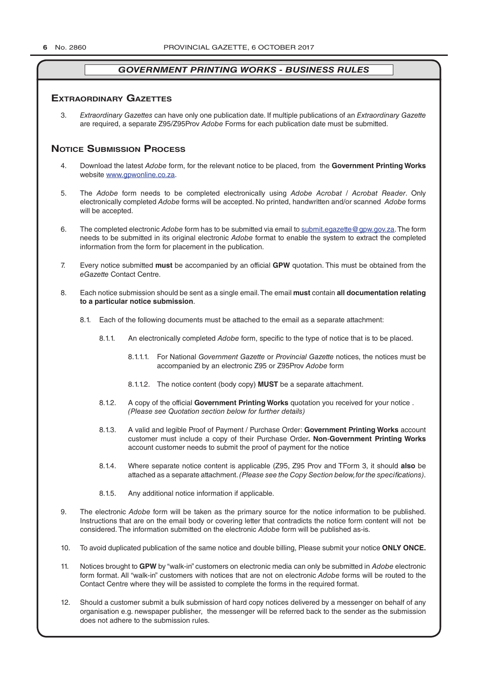# **exTrAordinAry gAzeTTes**

3. *Extraordinary Gazettes* can have only one publication date. If multiple publications of an *Extraordinary Gazette* are required, a separate Z95/Z95Prov *Adobe* Forms for each publication date must be submitted.

# **NOTICE SUBMISSION PROCESS**

- 4. Download the latest *Adobe* form, for the relevant notice to be placed, from the **Government Printing Works** website www.gpwonline.co.za.
- 5. The *Adobe* form needs to be completed electronically using *Adobe Acrobat* / *Acrobat Reader*. Only electronically completed *Adobe* forms will be accepted. No printed, handwritten and/or scanned *Adobe* forms will be accepted.
- 6. The completed electronic *Adobe* form has to be submitted via email to submit.egazette@gpw.gov.za. The form needs to be submitted in its original electronic *Adobe* format to enable the system to extract the completed information from the form for placement in the publication.
- 7. Every notice submitted **must** be accompanied by an official **GPW** quotation. This must be obtained from the *eGazette* Contact Centre.
- 8. Each notice submission should be sent as a single email. The email **must** contain **all documentation relating to a particular notice submission**.
	- 8.1. Each of the following documents must be attached to the email as a separate attachment:
		- 8.1.1. An electronically completed *Adobe* form, specific to the type of notice that is to be placed.
			- 8.1.1.1. For National *Government Gazette* or *Provincial Gazette* notices, the notices must be accompanied by an electronic Z95 or Z95Prov *Adobe* form
			- 8.1.1.2. The notice content (body copy) **MUST** be a separate attachment.
		- 8.1.2. A copy of the official **Government Printing Works** quotation you received for your notice . *(Please see Quotation section below for further details)*
		- 8.1.3. A valid and legible Proof of Payment / Purchase Order: **Government Printing Works** account customer must include a copy of their Purchase Order*.* **Non**-**Government Printing Works** account customer needs to submit the proof of payment for the notice
		- 8.1.4. Where separate notice content is applicable (Z95, Z95 Prov and TForm 3, it should **also** be attached as a separate attachment. *(Please see the Copy Section below, for the specifications)*.
		- 8.1.5. Any additional notice information if applicable.
- 9. The electronic *Adobe* form will be taken as the primary source for the notice information to be published. Instructions that are on the email body or covering letter that contradicts the notice form content will not be considered. The information submitted on the electronic *Adobe* form will be published as-is.
- 10. To avoid duplicated publication of the same notice and double billing, Please submit your notice **ONLY ONCE.**
- 11. Notices brought to **GPW** by "walk-in" customers on electronic media can only be submitted in *Adobe* electronic form format. All "walk-in" customers with notices that are not on electronic *Adobe* forms will be routed to the Contact Centre where they will be assisted to complete the forms in the required format.
- 12. Should a customer submit a bulk submission of hard copy notices delivered by a messenger on behalf of any organisation e.g. newspaper publisher, the messenger will be referred back to the sender as the submission does not adhere to the submission rules.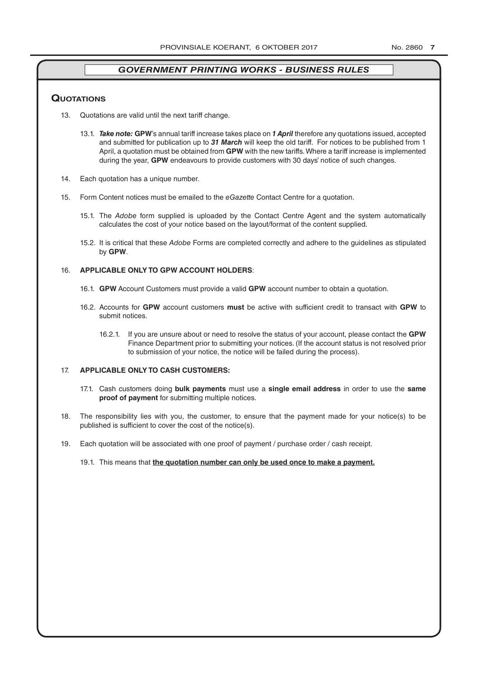# **QuoTATions**

- 13. Quotations are valid until the next tariff change.
	- 13.1. *Take note:* **GPW**'s annual tariff increase takes place on *1 April* therefore any quotations issued, accepted and submitted for publication up to *31 March* will keep the old tariff. For notices to be published from 1 April, a quotation must be obtained from **GPW** with the new tariffs. Where a tariff increase is implemented during the year, **GPW** endeavours to provide customers with 30 days' notice of such changes.
- 14. Each quotation has a unique number.
- 15. Form Content notices must be emailed to the *eGazette* Contact Centre for a quotation.
	- 15.1. The *Adobe* form supplied is uploaded by the Contact Centre Agent and the system automatically calculates the cost of your notice based on the layout/format of the content supplied.
	- 15.2. It is critical that these *Adobe* Forms are completed correctly and adhere to the guidelines as stipulated by **GPW**.

# 16. **APPLICABLE ONLY TO GPW ACCOUNT HOLDERS**:

- 16.1. **GPW** Account Customers must provide a valid **GPW** account number to obtain a quotation.
- 16.2. Accounts for **GPW** account customers **must** be active with sufficient credit to transact with **GPW** to submit notices.
	- 16.2.1. If you are unsure about or need to resolve the status of your account, please contact the **GPW** Finance Department prior to submitting your notices. (If the account status is not resolved prior to submission of your notice, the notice will be failed during the process).

# 17. **APPLICABLE ONLY TO CASH CUSTOMERS:**

- 17.1. Cash customers doing **bulk payments** must use a **single email address** in order to use the **same proof of payment** for submitting multiple notices.
- 18. The responsibility lies with you, the customer, to ensure that the payment made for your notice(s) to be published is sufficient to cover the cost of the notice(s).
- 19. Each quotation will be associated with one proof of payment / purchase order / cash receipt.
	- 19.1. This means that **the quotation number can only be used once to make a payment.**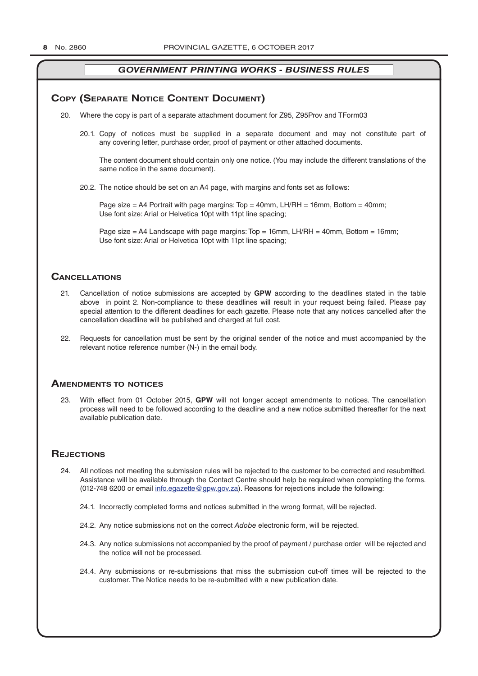# **COPY (SEPARATE NOTICE CONTENT DOCUMENT)**

- 20. Where the copy is part of a separate attachment document for Z95, Z95Prov and TForm03
	- 20.1. Copy of notices must be supplied in a separate document and may not constitute part of any covering letter, purchase order, proof of payment or other attached documents.

The content document should contain only one notice. (You may include the different translations of the same notice in the same document).

20.2. The notice should be set on an A4 page, with margins and fonts set as follows:

Page size  $=$  A4 Portrait with page margins: Top  $=$  40mm, LH/RH  $=$  16mm, Bottom  $=$  40mm; Use font size: Arial or Helvetica 10pt with 11pt line spacing;

Page size = A4 Landscape with page margins: Top = 16mm, LH/RH = 40mm, Bottom = 16mm; Use font size: Arial or Helvetica 10pt with 11pt line spacing;

# **CAnCellATions**

- 21. Cancellation of notice submissions are accepted by **GPW** according to the deadlines stated in the table above in point 2. Non-compliance to these deadlines will result in your request being failed. Please pay special attention to the different deadlines for each gazette. Please note that any notices cancelled after the cancellation deadline will be published and charged at full cost.
- 22. Requests for cancellation must be sent by the original sender of the notice and must accompanied by the relevant notice reference number (N-) in the email body.

# **AmendmenTs To noTiCes**

23. With effect from 01 October 2015, **GPW** will not longer accept amendments to notices. The cancellation process will need to be followed according to the deadline and a new notice submitted thereafter for the next available publication date.

# **REJECTIONS**

- 24. All notices not meeting the submission rules will be rejected to the customer to be corrected and resubmitted. Assistance will be available through the Contact Centre should help be required when completing the forms. (012-748 6200 or email info.egazette@gpw.gov.za). Reasons for rejections include the following:
	- 24.1. Incorrectly completed forms and notices submitted in the wrong format, will be rejected.
	- 24.2. Any notice submissions not on the correct *Adobe* electronic form, will be rejected.
	- 24.3. Any notice submissions not accompanied by the proof of payment / purchase order will be rejected and the notice will not be processed.
	- 24.4. Any submissions or re-submissions that miss the submission cut-off times will be rejected to the customer. The Notice needs to be re-submitted with a new publication date.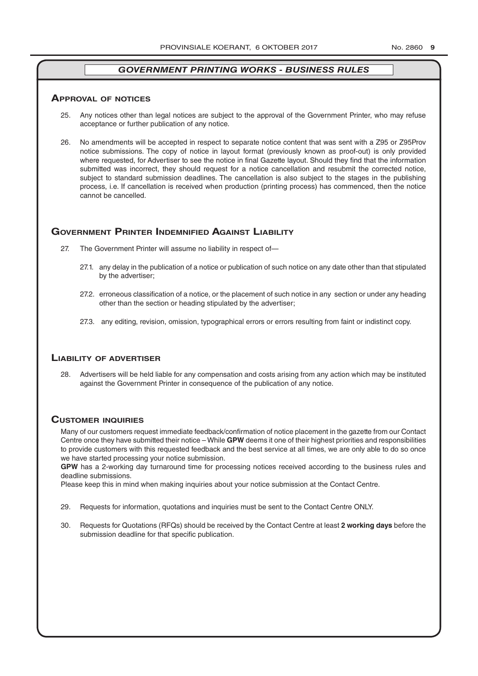### **ApprovAl of noTiCes**

- 25. Any notices other than legal notices are subject to the approval of the Government Printer, who may refuse acceptance or further publication of any notice.
- 26. No amendments will be accepted in respect to separate notice content that was sent with a Z95 or Z95Prov notice submissions. The copy of notice in layout format (previously known as proof-out) is only provided where requested, for Advertiser to see the notice in final Gazette layout. Should they find that the information submitted was incorrect, they should request for a notice cancellation and resubmit the corrected notice, subject to standard submission deadlines. The cancellation is also subject to the stages in the publishing process, i.e. If cancellation is received when production (printing process) has commenced, then the notice cannot be cancelled.

# **governmenT prinTer indemnified AgAinsT liAbiliTy**

- 27. The Government Printer will assume no liability in respect of—
	- 27.1. any delay in the publication of a notice or publication of such notice on any date other than that stipulated by the advertiser;
	- 27.2. erroneous classification of a notice, or the placement of such notice in any section or under any heading other than the section or heading stipulated by the advertiser;
	- 27.3. any editing, revision, omission, typographical errors or errors resulting from faint or indistinct copy.

## **liAbiliTy of AdverTiser**

28. Advertisers will be held liable for any compensation and costs arising from any action which may be instituted against the Government Printer in consequence of the publication of any notice.

# **CusTomer inQuiries**

Many of our customers request immediate feedback/confirmation of notice placement in the gazette from our Contact Centre once they have submitted their notice – While **GPW** deems it one of their highest priorities and responsibilities to provide customers with this requested feedback and the best service at all times, we are only able to do so once we have started processing your notice submission.

**GPW** has a 2-working day turnaround time for processing notices received according to the business rules and deadline submissions.

Please keep this in mind when making inquiries about your notice submission at the Contact Centre.

- 29. Requests for information, quotations and inquiries must be sent to the Contact Centre ONLY.
- 30. Requests for Quotations (RFQs) should be received by the Contact Centre at least **2 working days** before the submission deadline for that specific publication.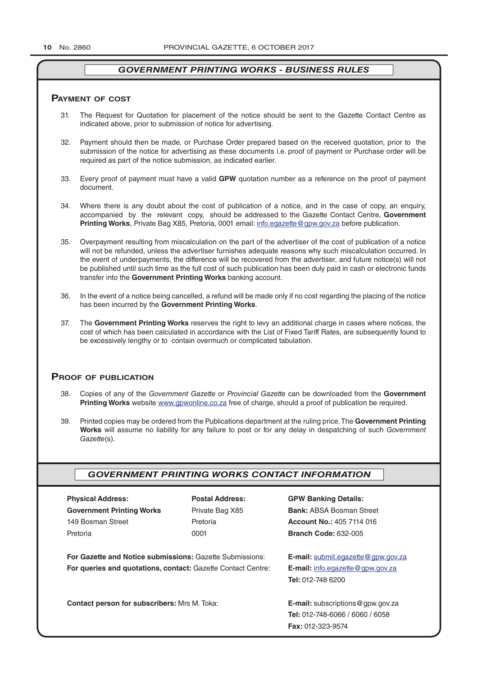### **pAymenT of CosT**

- 31. The Request for Quotation for placement of the notice should be sent to the Gazette Contact Centre as indicated above, prior to submission of notice for advertising.
- 32. Payment should then be made, or Purchase Order prepared based on the received quotation, prior to the submission of the notice for advertising as these documents i.e. proof of payment or Purchase order will be required as part of the notice submission, as indicated earlier.
- 33. Every proof of payment must have a valid **GPW** quotation number as a reference on the proof of payment document.
- 34. Where there is any doubt about the cost of publication of a notice, and in the case of copy, an enquiry, accompanied by the relevant copy, should be addressed to the Gazette Contact Centre, **Government Printing Works**, Private Bag X85, Pretoria, 0001 email: info.egazette@gpw.gov.za before publication.
- 35. Overpayment resulting from miscalculation on the part of the advertiser of the cost of publication of a notice will not be refunded, unless the advertiser furnishes adequate reasons why such miscalculation occurred. In the event of underpayments, the difference will be recovered from the advertiser, and future notice(s) will not be published until such time as the full cost of such publication has been duly paid in cash or electronic funds transfer into the **Government Printing Works** banking account.
- 36. In the event of a notice being cancelled, a refund will be made only if no cost regarding the placing of the notice has been incurred by the **Government Printing Works**.
- 37. The **Government Printing Works** reserves the right to levy an additional charge in cases where notices, the cost of which has been calculated in accordance with the List of Fixed Tariff Rates, are subsequently found to be excessively lengthy or to contain overmuch or complicated tabulation.

# **proof of publiCATion**

- 38. Copies of any of the *Government Gazette* or *Provincial Gazette* can be downloaded from the **Government Printing Works** website www.gpwonline.co.za free of charge, should a proof of publication be required.
- 39. Printed copies may be ordered from the Publications department at the ruling price. The **Government Printing Works** will assume no liability for any failure to post or for any delay in despatching of such *Government Gazette*(s).

# *GOVERNMENT PRINTING WORKS CONTACT INFORMATION*

| <b>Physical Address:</b>                                 | <b>Postal Address:</b>                                              | <b>GPW Banking Details:</b>                 |
|----------------------------------------------------------|---------------------------------------------------------------------|---------------------------------------------|
| <b>Government Printing Works</b>                         | Private Bag X85                                                     | <b>Bank: ABSA Bosman Street</b>             |
| 149 Bosman Street                                        | Pretoria                                                            | <b>Account No.: 405 7114 016</b>            |
| Pretoria                                                 | 0001                                                                | <b>Branch Code: 632-005</b>                 |
| For Gazette and Notice submissions: Gazette Submissions: |                                                                     | <b>E-mail:</b> submit.eqazette@gpw.gov.za   |
|                                                          | <b>For queries and quotations, contact: Gazette Contact Centre:</b> |                                             |
|                                                          |                                                                     | <b>Tel: 012-748 6200</b>                    |
| <b>Contact person for subscribers: Mrs M. Toka:</b>      |                                                                     | <b>E-mail:</b> subscriptions $@$ gpw.gov.za |
|                                                          |                                                                     | <b>Tel: 012-748-6066 / 6060 / 6058</b>      |
|                                                          |                                                                     | <b>Fax: 012-323-9574</b>                    |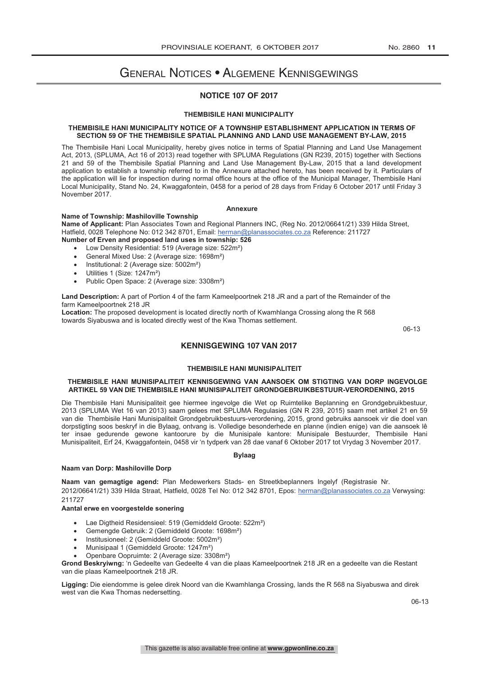# General Notices • Algemene Kennisgewings

# **NOTICE 107 OF 2017**

#### **THEMBISILE HANI MUNICIPALITY**

### **THEMBISILE HANI MUNICIPALITY NOTICE OF A TOWNSHIP ESTABLISHMENT APPLICATION IN TERMS OF** SECTION 59 OF THE THEMBISILE SPATIAL PLANNING AND LAND USE MANAGEMENT BY-LAW, 2015

The Thembisile Hani Local Municipality, hereby gives notice in terms of Spatial Planning and Land Use Management Act, 2013, (SPLUMA, Act 16 of 2013) read together with SPLUMA Regulations (GN R239, 2015) together with Sections 21 and 59 of the Thembisile Spatial Planning and Land Use Management By-Law, 2015 that a land development application to establish a township referred to in the Annexure attached hereto, has been received by it. Particulars of the application will lie for inspection during normal office hours at the office of the Municipal Manager, Thembisile Hani Local Municipality, Stand No. 24, Kwaggafontein, 0458 for a period of 28 days from Friday 6 October 2017 until Friday 3 November 2017. application to establish a township referred to intervention the Annexure attached to the Annexure attached to<br>November 2017  $t_{\text{tot}}$  application during normal of the Municipal Manager, Thembisile Hanisile  $\text{tot}$ 

#### **Annexure**  $\Delta$ nnexure

# **Name of Township: Mashiloville Township**

**Name of Applicant:** Plan Associates Town and Regional Planners INC, (Reg No. 2012/06641/21) 339 Hilda Street, Hatfield, 0028 Telephone No: 012 342 8701, Email: herman@planassociates.co.za Reference: 211727 **Number of Erven and proposed land uses in township: 526** 

- **Namber of Erven and proposed land associates Township. See**<br>
Low Density Residential: 519 (Average size: 522m<sup>2</sup>)
- **EDW DUISITY RUSSIGEMINIEL OVER THE TELEPHONE SIZE:** 0221119<br> **General Mixed Use: 2 (Average size: 1698**m<sup>2</sup>) **Number of Example 2000 in the Erven and uses in the ERGO is a state of the ERGO is a state of the ERGO is a state of the ERGO is a state of the ERGO is a state of the ERGO is a state of the ERGO is a state of the ERGO is** 
	- Institutional: 2 (Average size:  $5002m^2$ )
	- Utilities 1 (Size: 1247m²)
	- Utilities T (Size: 124711-)<br>• Public Open Space: 2 (Average size: 3308m<sup>2</sup>) • Public Open Space.  $2$  (Average size.  $3$

**Land Description:** A part of Portion 4 of the farm Kameelpoortnek 218 JR and a part of the Remainder of the farm Kameelpoortnek 218 JR u Description. A part of Fortion 4 or the familisan

**Location:** The proposed development is located directly north of Kwamhlanga Crossing along the R 568 **Location:** The proposed development is located directly norm of twammariga erossing along the TV soc<br>towards Siyabuswa and is located directly west of the Kwa Thomas settlement. fowards Oryabaswa and is loc

06-13

# **KENNISGEWING 107 VAN 2017**

#### **THEMBISILE HANI MUNISIPALITEIT ARTICH SIDEL SE IN DIE THEMBISILE HANI MUNISIPALITEIT**

# Die Thembisile Hani Munisipaliteit gee hiermee ingevolge die Wet op Ruimtelike Beplanning en Grondgebruikbestuur, **THEMBISILE HANI MUNISIPALITEIT KENNISGEWING VAN AANSOEK OM STIGTING VAN DORP INGEVOLGE** ARTIKEL 59 VAN DIE THEMBISILE HANI MUNISIPALITEIT GRONDGEBRUIKBESTUUR-VERORDENING, 2015

Die Thembisile Hani Munisipaliteit gee hiermee ingevolge die Wet op Ruimtelike Beplanning en Grondgebruikbestuur, 2013 (SPLUMA Wet 16 van 2013) saam gelees met SPLUMA Regulasies (GN R 239, 2015) saam met artikel 21 en 59 ter insae gedurende gewone kantoorure by die Munisipale kantore: Munisipale Bestuurder, Thembisile Hani van die Thembisile Hani Munisipaliteit Grondgebruikbestuurs-verordening, 2015, grond gebruiks aansoek vir die doel van dorpstigting soos beskryf in die Bylaag, ontvang is. Volledige besonderhede en planne (indien enige) van die aansoek lê **Bylaag** ter insae gedurende gewone kantoorure by die Munisipale kantore: Munisipale Bestuurder, Thembisile Hani Munisipaliteit, Erf 24, Kwaggafontein, 0458 vir 'n tydperk van 28 dae vanaf 6 Oktober 2017 tot Vrydag 3 November 2017.

#### **Bylaag**

#### **Naam van gemagtige agend:** Plan Medewerkers Stads- en Streetkbeplanners Ingelyf (Registrasie Nr. 2012/06641/21) 339 Hilda Straat, Hatfield, 0028 Tel No: 012 342 8701, Epos: herman@planassociates.co.za Verwysing: **Naam van Dorp: Mashiloville Dorp**

Naam van gemagtige agend: Plan Medewerkers Stads- en Streetkbeplanners Ingelyf (Registrasie Nr. **Aantal erwe en voorgestelde sonering** 2012/06641/21) 339 Hilda Straat, Hatfield, 0028 Tel No: 012 342 8701, Epos: herman@planassociates.co.za Verwysing: • Lae Digtheid Residensieel: 519 (Gemiddeld Groote: 522m²) 211727

# • Gemengde Gebruik: 2 (Gemiddeld Groote: 1698m²) **Aantal erwe en voorgestelde sonering**

- Lae Digtheid Residensieel: 519 (Gemiddeld Groote: 522m<sup>2</sup>)
- Gemengde Gebruik: 2 (Gemiddeld Groote: 1698m<sup>2</sup>)
- Institusioneel: 2 (Gemiddeld Groote: 5002m<sup>2</sup>)
- **Munisipaal 1 (Gemiddeld Groote: 1247m<sup>2</sup>)**<br>• Munisipaal 1 (Gemiddeld Groote: 1247m<sup>2</sup>)
- Manielpaar (Commadele Oroce: 12 min.)<br>• Openbare Oopruimte: 2 (Average size: 3308m<sup>2</sup>)

**Grond Beskryiwng:** 'n Gedeelte van Gedeelte 4 van die plaas Kameelpoortnek 218 JR en a gedeelte van die Restant van die plaas Kameelpoortnek 218 JR.

Ligging: Die eiendomme is gelee direk Noord van die Kwamhlanga Crossing, lands the R 568 na Siyabuswa and direk west van die Kwa Thomas nedersetting.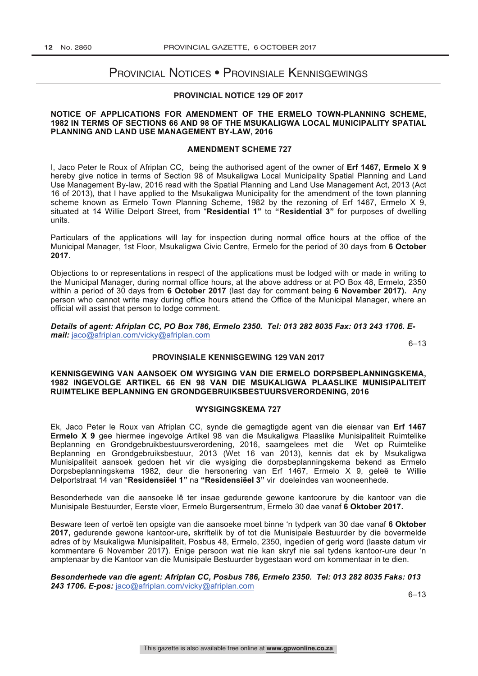# Provincial Notices • Provinsiale Kennisgewings

# **PROVINCIAL NOTICE 129 OF 2017**

# **NOTICE OF APPLICATIONS FOR AMENDMENT OF THE ERMELO TOWN-PLANNING SCHEME, 1982 IN TERMS OF SECTIONS 66 AND 98 OF THE MSUKALIGWA LOCAL MUNICIPALITY SPATIAL PLANNING AND LAND USE MANAGEMENT BY-LAW, 2016**

## **AMENDMENT SCHEME 727**

I, Jaco Peter le Roux of Afriplan CC, being the authorised agent of the owner of **Erf 1467, Ermelo X 9** hereby give notice in terms of Section 98 of Msukaligwa Local Municipality Spatial Planning and Land Use Management By-law, 2016 read with the Spatial Planning and Land Use Management Act, 2013 (Act 16 of 2013), that I have applied to the Msukaligwa Municipality for the amendment of the town planning scheme known as Ermelo Town Planning Scheme, 1982 by the rezoning of Erf 1467, Ermelo X 9, situated at 14 Willie Delport Street, from "**Residential 1"** to **"Residential 3"** for purposes of dwelling units.

Particulars of the applications will lay for inspection during normal office hours at the office of the Municipal Manager, 1st Floor, Msukaligwa Civic Centre, Ermelo for the period of 30 days from **6 October 2017.**

Objections to or representations in respect of the applications must be lodged with or made in writing to the Municipal Manager, during normal office hours, at the above address or at PO Box 48, Ermelo, 2350 within a period of 30 days from **6 October 2017** (last day for comment being **6 November 2017).** Any person who cannot write may during office hours attend the Office of the Municipal Manager, where an official will assist that person to lodge comment.

*Details of agent: Afriplan CC, PO Box 786, Ermelo 2350. Tel: 013 282 8035 Fax: 013 243 1706. Email:* jaco@afriplan.com/vicky@afriplan.com

6–13

## **PROVINSIALE KENNISGEWING 129 VAN 2017**

# **KENNISGEWING VAN AANSOEK OM WYSIGING VAN DIE ERMELO DORPSBEPLANNINGSKEMA, 1982 INGEVOLGE ARTIKEL 66 EN 98 VAN DIE MSUKALIGWA PLAASLIKE MUNISIPALITEIT RUIMTELIKE BEPLANNING EN GRONDGEBRUIKSBESTUURSVERORDENING, 2016**

# **WYSIGINGSKEMA 727**

Ek, Jaco Peter le Roux van Afriplan CC, synde die gemagtigde agent van die eienaar van **Erf 1467 Ermelo X 9** gee hiermee ingevolge Artikel 98 van die Msukaligwa Plaaslike Munisipaliteit Ruimtelike Beplanning en Grondgebruikbestuursverordening, 2016, saamgelees met die Wet op Ruimtelike Beplanning en Grondgebruiksbestuur, 2013 (Wet 16 van 2013), kennis dat ek by Msukaligwa Munisipaliteit aansoek gedoen het vir die wysiging die dorpsbeplanningskema bekend as Ermelo Dorpsbeplanningskema 1982, deur die hersonering van Erf 1467, Ermelo X 9, geleë te Willie Delportstraat 14 van "**Residensiëel 1"** na **"Residensiëel 3"** vir doeleindes van wooneenhede.

Besonderhede van die aansoeke lê ter insae gedurende gewone kantoorure by die kantoor van die Munisipale Bestuurder, Eerste vloer, Ermelo Burgersentrum, Ermelo 30 dae vanaf **6 Oktober 2017.** 

Besware teen of vertoë ten opsigte van die aansoeke moet binne 'n tydperk van 30 dae vanaf **6 Oktober 2017,** gedurende gewone kantoor-ure**,** skriftelik by of tot die Munisipale Bestuurder by die bovermelde adres of by Msukaligwa Munisipaliteit, Posbus 48, Ermelo, 2350, ingedien of gerig word (laaste datum vir kommentare 6 November 2017**)**. Enige persoon wat nie kan skryf nie sal tydens kantoor-ure deur 'n amptenaar by die Kantoor van die Munisipale Bestuurder bygestaan word om kommentaar in te dien.

*Besonderhede van die agent: Afriplan CC, Posbus 786, Ermelo 2350. Tel: 013 282 8035 Faks: 013 243 1706. E-pos:* jaco@afriplan.com/vicky@afriplan.com

6–13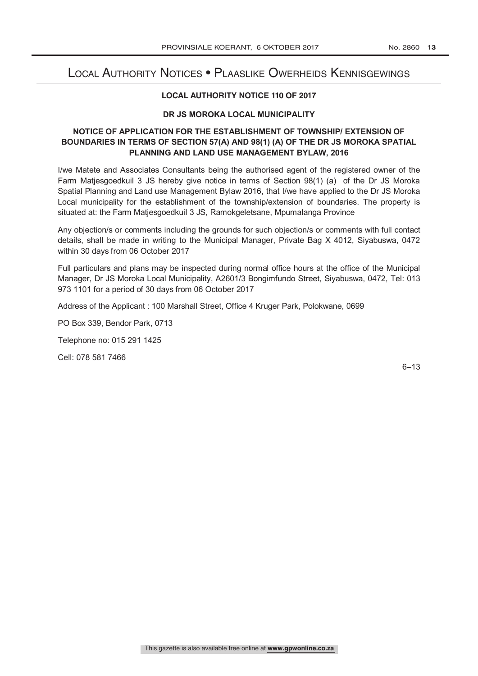# Local Authority Notices • Plaaslike Owerheids Kennisgewings

# **LOCAL AUTHORITY NOTICE 110 OF 2017**

# **DR JS MOROKA LOCAL MUNICIPALITY**

# **NOTICE OF APPLICATION FOR THE ESTABLISHMENT OF TOWNSHIP/ EXTENSION OF BOUNDARIES IN TERMS OF SECTION 57(A) AND 98(1) (A) OF THE DR JS MOROKA SPATIAL PLANNING AND LAND USE MANAGEMENT BYLAW, 2016**

I/we Matete and Associates Consultants being the authorised agent of the registered owner of the Farm Matjesgoedkuil 3 JS hereby give notice in terms of Section 98(1) (a) of the Dr JS Moroka Spatial Planning and Land use Management Bylaw 2016, that I/we have applied to the Dr JS Moroka Local municipality for the establishment of the township/extension of boundaries. The property is situated at: the Farm Matjesgoedkuil 3 JS, Ramokgeletsane, Mpumalanga Province

Any objection/s or comments including the grounds for such objection/s or comments with full contact details, shall be made in writing to the Municipal Manager, Private Bag X 4012, Siyabuswa, 0472 within 30 days from 06 October 2017

Full particulars and plans may be inspected during normal office hours at the office of the Municipal Manager, Dr JS Moroka Local Municipality, A2601/3 Bongimfundo Street, Siyabuswa, 0472, Tel: 013 973 1101 for a period of 30 days from 06 October 2017

Address of the Applicant : 100 Marshall Street, Office 4 Kruger Park, Polokwane, 0699

PO Box 339, Bendor Park, 0713

Telephone no: 015 291 1425

Cell: 078 581 7466

6–13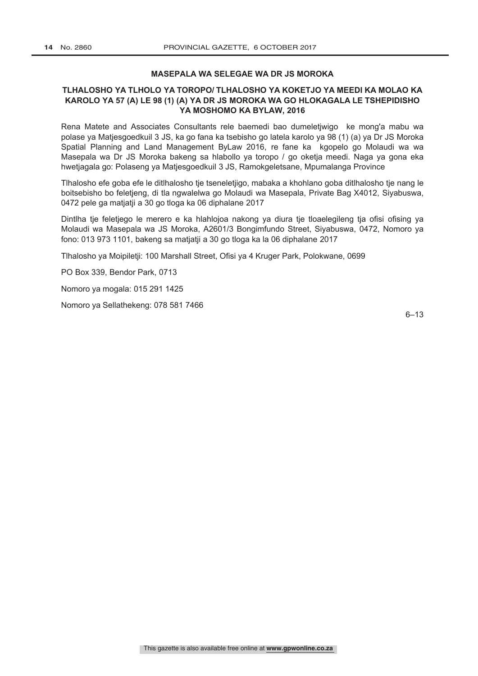# **MASEPALA WA SELEGAE WA DR JS MOROKA**

# **TLHALOSHO YA TLHOLO YA TOROPO/ TLHALOSHO YA KOKETJO YA MEEDI KA MOLAO KA KAROLO YA 57 (A) LE 98 (1) (A) YA DR JS MOROKA WA GO HLOKAGALA LE TSHEPIDISHO YA MOSHOMO KA BYLAW, 2016**

Rena Matete and Associates Consultants rele baemedi bao dumeletjwigo ke mong'a mabu wa polase ya Matjesgoedkuil 3 JS, ka go fana ka tsebisho go latela karolo ya 98 (1) (a) ya Dr JS Moroka Spatial Planning and Land Management ByLaw 2016, re fane ka kgopelo go Molaudi wa wa Masepala wa Dr JS Moroka bakeng sa hlabollo ya toropo / go oketja meedi. Naga ya gona eka hwetjagala go: Polaseng ya Matjesgoedkuil 3 JS, Ramokgeletsane, Mpumalanga Province

Tlhalosho efe goba efe le ditlhalosho tje tseneletjigo, mabaka a khohlano goba ditlhalosho tje nang le boitsebisho bo feletjeng, di tla ngwalelwa go Molaudi wa Masepala, Private Bag X4012, Siyabuswa, 0472 pele ga matjatji a 30 go tloga ka 06 diphalane 2017

Dintlha tje feletjego le merero e ka hlahlojoa nakong ya diura tje tloaelegileng tja ofisi ofising ya Molaudi wa Masepala wa JS Moroka, A2601/3 Bongimfundo Street, Siyabuswa, 0472, Nomoro ya fono: 013 973 1101, bakeng sa matjatji a 30 go tloga ka la 06 diphalane 2017

Tlhalosho ya Moipiletji: 100 Marshall Street, Ofisi ya 4 Kruger Park, Polokwane, 0699

PO Box 339, Bendor Park, 0713

Nomoro ya mogala: 015 291 1425

Nomoro ya Sellathekeng: 078 581 7466

6–13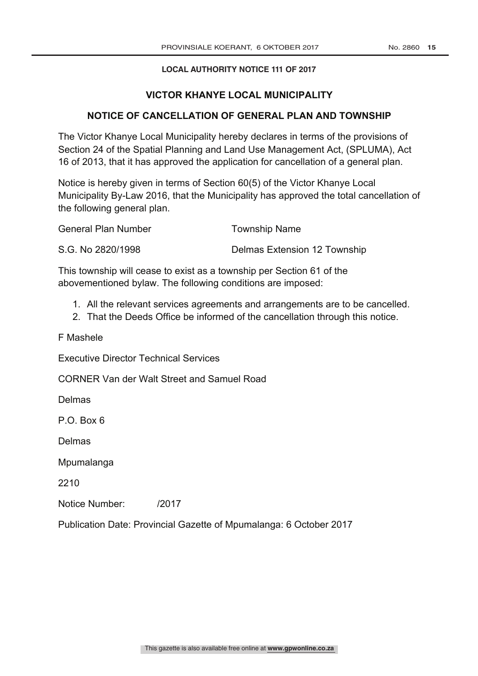# **LOCAL AUTHORITY NOTICE 111 OF 2017**

# **VICTOR KHANYE LOCAL MUNICIPALITY**

# **NOTICE OF CANCELLATION OF GENERAL PLAN AND TOWNSHIP**

The Victor Khanye Local Municipality hereby declares in terms of the provisions of Section 24 of the Spatial Planning and Land Use Management Act, (SPLUMA), Act 16 of 2013, that it has approved the application for cancellation of a general plan.

Notice is hereby given in terms of Section 60(5) of the Victor Khanye Local Municipality By-Law 2016, that the Municipality has approved the total cancellation of the following general plan.

| General Plan Number | <b>Township Name</b>                |
|---------------------|-------------------------------------|
| S.G. No 2820/1998   | <b>Delmas Extension 12 Township</b> |

This township will cease to exist as a township per Section 61 of the abovementioned bylaw. The following conditions are imposed:

- 1. All the relevant services agreements and arrangements are to be cancelled.
- 2. That the Deeds Office be informed of the cancellation through this notice.

F Mashele

Executive Director Technical Services

CORNER Van der Walt Street and Samuel Road

Delmas

P.O. Box 6

Delmas

**Mpumalanga** 

2210

Notice Number: /2017

Publication Date: Provincial Gazette of Mpumalanga: 6 October 2017